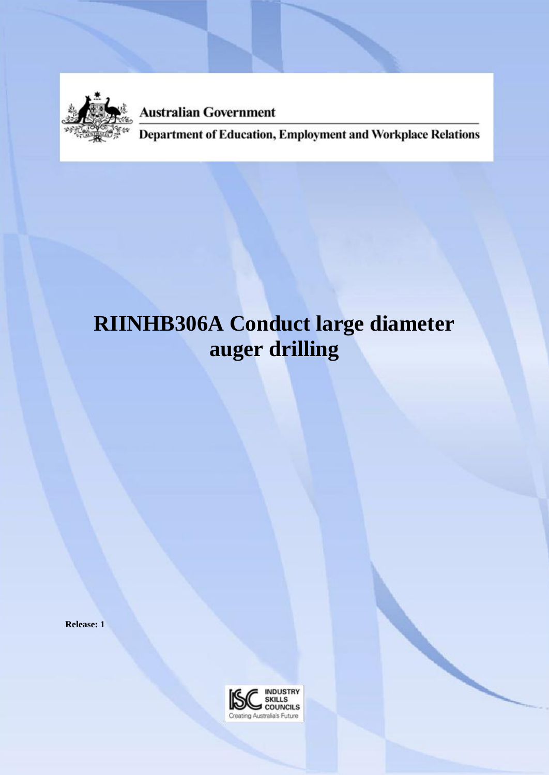

**Australian Government** 

**Department of Education, Employment and Workplace Relations** 

# **RIINHB306A Conduct large diameter auger drilling**

**Release: 1**

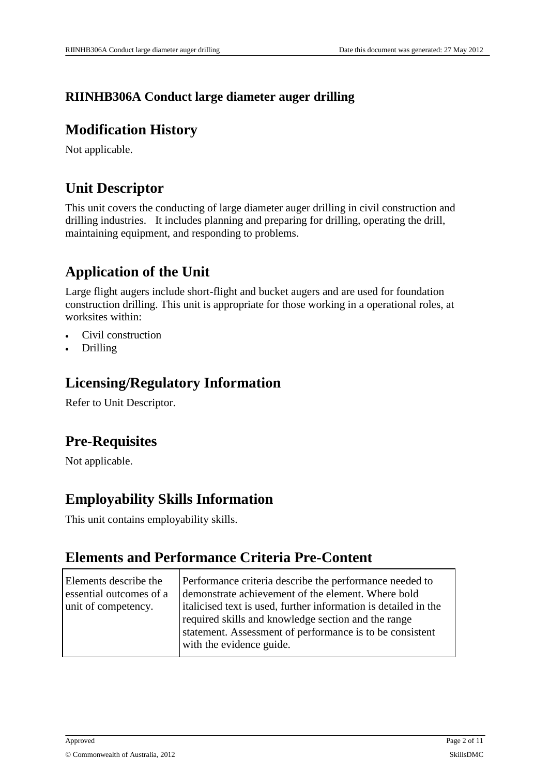#### **RIINHB306A Conduct large diameter auger drilling**

#### **Modification History**

Not applicable.

#### **Unit Descriptor**

This unit covers the conducting of large diameter auger drilling in civil construction and drilling industries. It includes planning and preparing for drilling, operating the drill, maintaining equipment, and responding to problems.

### **Application of the Unit**

Large flight augers include short-flight and bucket augers and are used for foundation construction drilling. This unit is appropriate for those working in a operational roles, at worksites within:

- Civil construction
- Drilling

#### **Licensing/Regulatory Information**

Refer to Unit Descriptor.

### **Pre-Requisites**

Not applicable.

#### **Employability Skills Information**

This unit contains employability skills.

#### **Elements and Performance Criteria Pre-Content**

| Elements describe the<br>essential outcomes of a<br>unit of competency. | Performance criteria describe the performance needed to<br>demonstrate achievement of the element. Where bold<br>italicised text is used, further information is detailed in the<br>required skills and knowledge section and the range<br>statement. Assessment of performance is to be consistent<br>with the evidence guide. |
|-------------------------------------------------------------------------|---------------------------------------------------------------------------------------------------------------------------------------------------------------------------------------------------------------------------------------------------------------------------------------------------------------------------------|
|                                                                         |                                                                                                                                                                                                                                                                                                                                 |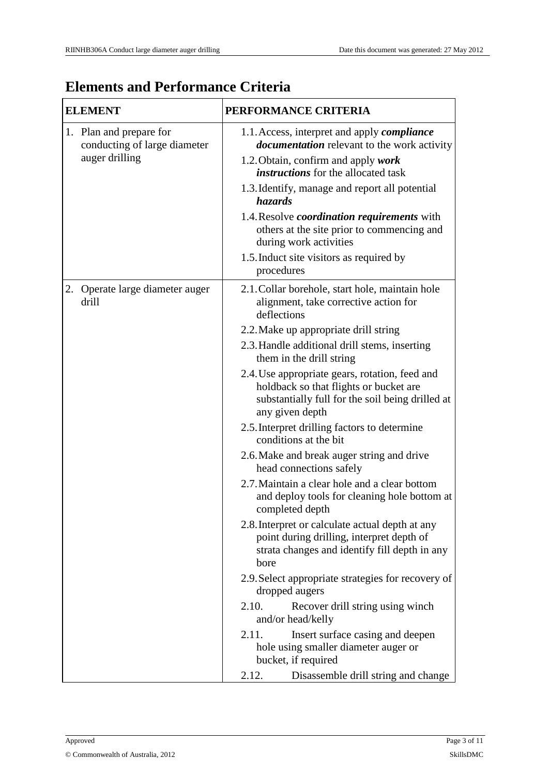# **Elements and Performance Criteria**

| <b>ELEMENT</b>                                                            | PERFORMANCE CRITERIA                                                                                                                                                                                                                                                                                                                                                                                                                        |
|---------------------------------------------------------------------------|---------------------------------------------------------------------------------------------------------------------------------------------------------------------------------------------------------------------------------------------------------------------------------------------------------------------------------------------------------------------------------------------------------------------------------------------|
| 1. Plan and prepare for<br>conducting of large diameter<br>auger drilling | 1.1. Access, interpret and apply <i>compliance</i><br><i>documentation</i> relevant to the work activity<br>1.2. Obtain, confirm and apply work<br><i>instructions</i> for the allocated task<br>1.3. Identify, manage and report all potential<br>hazards<br>1.4. Resolve coordination requirements with<br>others at the site prior to commencing and<br>during work activities<br>1.5. Induct site visitors as required by<br>procedures |
| 2. Operate large diameter auger<br>drill                                  | 2.1. Collar borehole, start hole, maintain hole<br>alignment, take corrective action for<br>deflections                                                                                                                                                                                                                                                                                                                                     |
|                                                                           | 2.2. Make up appropriate drill string                                                                                                                                                                                                                                                                                                                                                                                                       |
|                                                                           | 2.3. Handle additional drill stems, inserting<br>them in the drill string                                                                                                                                                                                                                                                                                                                                                                   |
|                                                                           | 2.4. Use appropriate gears, rotation, feed and<br>holdback so that flights or bucket are<br>substantially full for the soil being drilled at<br>any given depth                                                                                                                                                                                                                                                                             |
|                                                                           | 2.5. Interpret drilling factors to determine<br>conditions at the bit                                                                                                                                                                                                                                                                                                                                                                       |
|                                                                           | 2.6. Make and break auger string and drive<br>head connections safely                                                                                                                                                                                                                                                                                                                                                                       |
|                                                                           | 2.7. Maintain a clear hole and a clear bottom<br>and deploy tools for cleaning hole bottom at<br>completed depth                                                                                                                                                                                                                                                                                                                            |
|                                                                           | 2.8. Interpret or calculate actual depth at any<br>point during drilling, interpret depth of<br>strata changes and identify fill depth in any<br>bore                                                                                                                                                                                                                                                                                       |
|                                                                           | 2.9. Select appropriate strategies for recovery of<br>dropped augers                                                                                                                                                                                                                                                                                                                                                                        |
|                                                                           | 2.10.<br>Recover drill string using winch<br>and/or head/kelly                                                                                                                                                                                                                                                                                                                                                                              |
|                                                                           | 2.11.<br>Insert surface casing and deepen<br>hole using smaller diameter auger or<br>bucket, if required                                                                                                                                                                                                                                                                                                                                    |
|                                                                           | 2.12.<br>Disassemble drill string and change                                                                                                                                                                                                                                                                                                                                                                                                |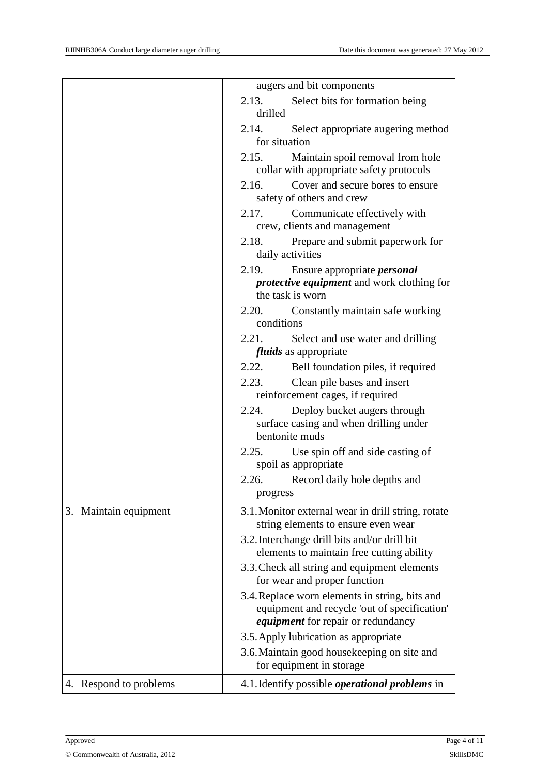|                        | augers and bit components                                                                                                                   |
|------------------------|---------------------------------------------------------------------------------------------------------------------------------------------|
|                        | 2.13. Select bits for formation being<br>drilled                                                                                            |
|                        | Select appropriate augering method<br>2.14.<br>for situation                                                                                |
|                        | 2.15.<br>Maintain spoil removal from hole<br>collar with appropriate safety protocols                                                       |
|                        | Cover and secure bores to ensure<br>2.16.<br>safety of others and crew                                                                      |
|                        | 2.17.<br>Communicate effectively with<br>crew, clients and management                                                                       |
|                        | 2.18. Prepare and submit paperwork for<br>daily activities                                                                                  |
|                        | 2.19.<br>Ensure appropriate <i>personal</i><br><i>protective equipment</i> and work clothing for<br>the task is worn                        |
|                        | Constantly maintain safe working<br>2.20.<br>conditions                                                                                     |
|                        | Select and use water and drilling<br>2.21.<br><i>fluids</i> as appropriate                                                                  |
|                        | 2.22.<br>Bell foundation piles, if required                                                                                                 |
|                        | Clean pile bases and insert<br>2.23.<br>reinforcement cages, if required                                                                    |
|                        | 2.24.<br>Deploy bucket augers through<br>surface casing and when drilling under<br>bentonite muds                                           |
|                        | Use spin off and side casting of<br>2.25.<br>spoil as appropriate                                                                           |
|                        | 2.26.<br>Record daily hole depths and<br>progress                                                                                           |
| 3. Maintain equipment  | 3.1. Monitor external wear in drill string, rotate<br>string elements to ensure even wear                                                   |
|                        | 3.2. Interchange drill bits and/or drill bit<br>elements to maintain free cutting ability                                                   |
|                        | 3.3. Check all string and equipment elements<br>for wear and proper function                                                                |
|                        | 3.4. Replace worn elements in string, bits and<br>equipment and recycle 'out of specification'<br><i>equipment</i> for repair or redundancy |
|                        | 3.5. Apply lubrication as appropriate                                                                                                       |
|                        | 3.6. Maintain good housekeeping on site and<br>for equipment in storage                                                                     |
| 4. Respond to problems | 4.1. Identify possible <i>operational problems</i> in                                                                                       |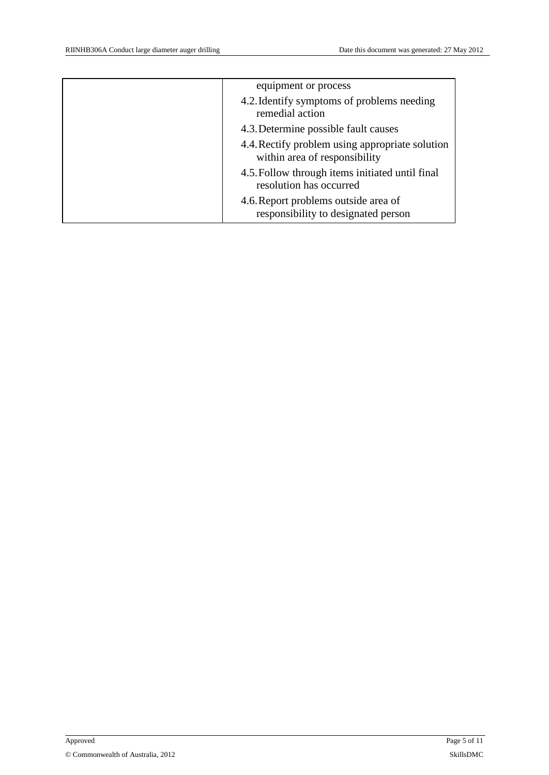| equipment or process                                                             |
|----------------------------------------------------------------------------------|
| 4.2. Identify symptoms of problems needing<br>remedial action                    |
| 4.3. Determine possible fault causes                                             |
| 4.4. Rectify problem using appropriate solution<br>within area of responsibility |
| 4.5. Follow through items initiated until final<br>resolution has occurred       |
| 4.6. Report problems outside area of<br>responsibility to designated person      |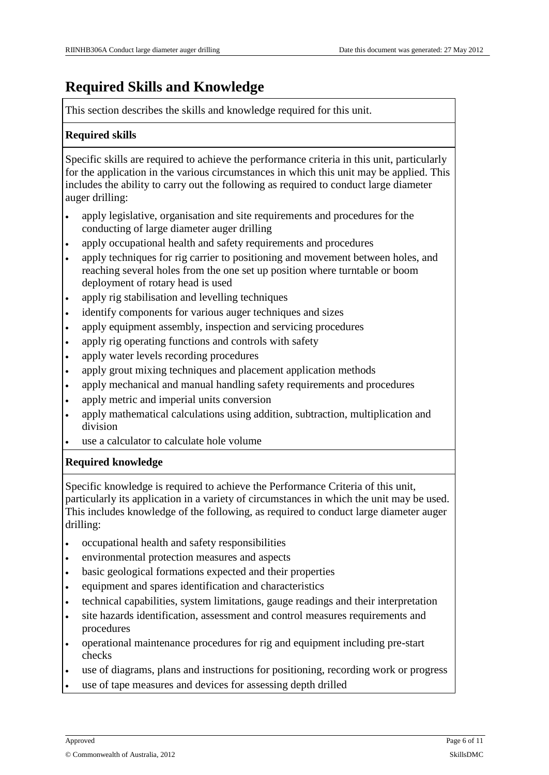# **Required Skills and Knowledge**

This section describes the skills and knowledge required for this unit.

#### **Required skills**

Specific skills are required to achieve the performance criteria in this unit, particularly for the application in the various circumstances in which this unit may be applied. This includes the ability to carry out the following as required to conduct large diameter auger drilling:

- apply legislative, organisation and site requirements and procedures for the conducting of large diameter auger drilling
- apply occupational health and safety requirements and procedures
- apply techniques for rig carrier to positioning and movement between holes, and reaching several holes from the one set up position where turntable or boom deployment of rotary head is used
- apply rig stabilisation and levelling techniques
- identify components for various auger techniques and sizes
- apply equipment assembly, inspection and servicing procedures
- apply rig operating functions and controls with safety
- apply water levels recording procedures
- apply grout mixing techniques and placement application methods
- apply mechanical and manual handling safety requirements and procedures
- apply metric and imperial units conversion
- apply mathematical calculations using addition, subtraction, multiplication and division
- use a calculator to calculate hole volume

#### **Required knowledge**

Specific knowledge is required to achieve the Performance Criteria of this unit, particularly its application in a variety of circumstances in which the unit may be used. This includes knowledge of the following, as required to conduct large diameter auger drilling:

- occupational health and safety responsibilities
- environmental protection measures and aspects
- basic geological formations expected and their properties
- equipment and spares identification and characteristics
- technical capabilities, system limitations, gauge readings and their interpretation
- site hazards identification, assessment and control measures requirements and procedures
- operational maintenance procedures for rig and equipment including pre-start checks
- use of diagrams, plans and instructions for positioning, recording work or progress
- use of tape measures and devices for assessing depth drilled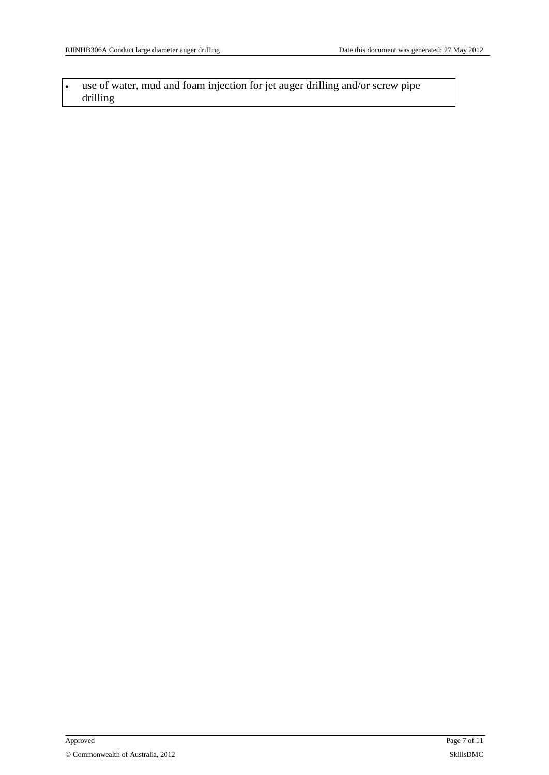use of water, mud and foam injection for jet auger drilling and/or screw pipe drilling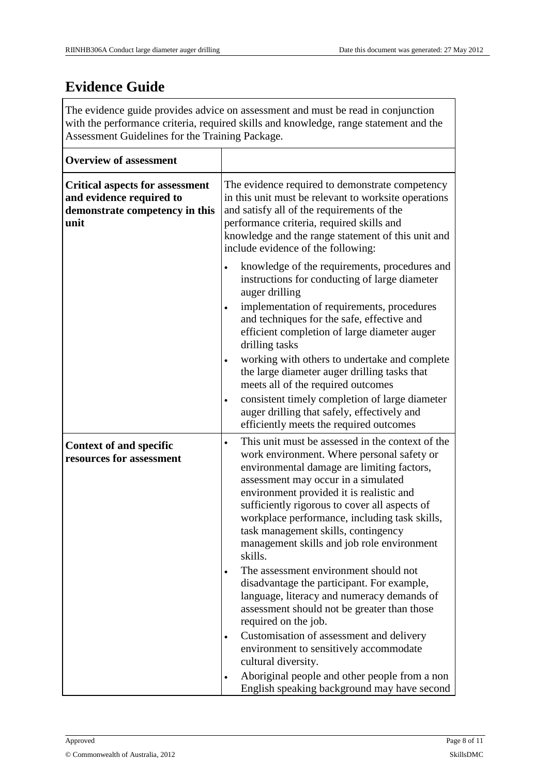# **Evidence Guide**

The evidence guide provides advice on assessment and must be read in conjunction with the performance criteria, required skills and knowledge, range statement and the Assessment Guidelines for the Training Package.

| <b>Overview of assessment</b>                                                                                |                                                                                                                                                                                                                                                                                                                                                                                                                                                                                                                                                                                                  |
|--------------------------------------------------------------------------------------------------------------|--------------------------------------------------------------------------------------------------------------------------------------------------------------------------------------------------------------------------------------------------------------------------------------------------------------------------------------------------------------------------------------------------------------------------------------------------------------------------------------------------------------------------------------------------------------------------------------------------|
| <b>Critical aspects for assessment</b><br>and evidence required to<br>demonstrate competency in this<br>unit | The evidence required to demonstrate competency<br>in this unit must be relevant to worksite operations<br>and satisfy all of the requirements of the<br>performance criteria, required skills and<br>knowledge and the range statement of this unit and<br>include evidence of the following:                                                                                                                                                                                                                                                                                                   |
|                                                                                                              | knowledge of the requirements, procedures and<br>$\bullet$<br>instructions for conducting of large diameter<br>auger drilling                                                                                                                                                                                                                                                                                                                                                                                                                                                                    |
|                                                                                                              | implementation of requirements, procedures<br>$\bullet$<br>and techniques for the safe, effective and<br>efficient completion of large diameter auger<br>drilling tasks                                                                                                                                                                                                                                                                                                                                                                                                                          |
|                                                                                                              | working with others to undertake and complete<br>$\bullet$<br>the large diameter auger drilling tasks that<br>meets all of the required outcomes                                                                                                                                                                                                                                                                                                                                                                                                                                                 |
|                                                                                                              | consistent timely completion of large diameter<br>$\bullet$<br>auger drilling that safely, effectively and<br>efficiently meets the required outcomes                                                                                                                                                                                                                                                                                                                                                                                                                                            |
| <b>Context of and specific</b><br>resources for assessment                                                   | This unit must be assessed in the context of the<br>$\bullet$<br>work environment. Where personal safety or<br>environmental damage are limiting factors,<br>assessment may occur in a simulated<br>environment provided it is realistic and<br>sufficiently rigorous to cover all aspects of<br>workplace performance, including task skills,<br>task management skills, contingency<br>management skills and job role environment<br>skills.<br>The assessment environment should not<br>$\bullet$<br>disadvantage the participant. For example,<br>language, literacy and numeracy demands of |
|                                                                                                              | assessment should not be greater than those<br>required on the job.                                                                                                                                                                                                                                                                                                                                                                                                                                                                                                                              |
|                                                                                                              | Customisation of assessment and delivery<br>$\bullet$<br>environment to sensitively accommodate<br>cultural diversity.                                                                                                                                                                                                                                                                                                                                                                                                                                                                           |
|                                                                                                              | Aboriginal people and other people from a non<br>$\bullet$<br>English speaking background may have second                                                                                                                                                                                                                                                                                                                                                                                                                                                                                        |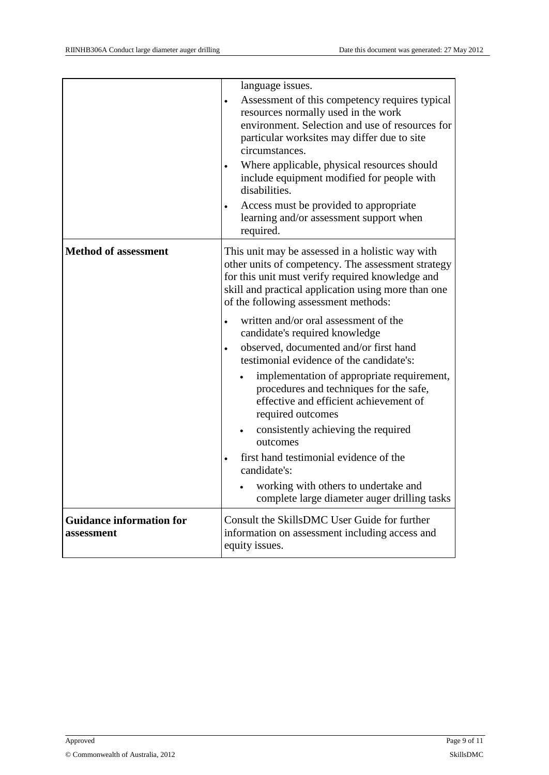|                                               | language issues.<br>Assessment of this competency requires typical<br>$\bullet$<br>resources normally used in the work<br>environment. Selection and use of resources for<br>particular worksites may differ due to site<br>circumstances.<br>Where applicable, physical resources should<br>include equipment modified for people with<br>disabilities.<br>Access must be provided to appropriate<br>learning and/or assessment support when |
|-----------------------------------------------|-----------------------------------------------------------------------------------------------------------------------------------------------------------------------------------------------------------------------------------------------------------------------------------------------------------------------------------------------------------------------------------------------------------------------------------------------|
|                                               | required.                                                                                                                                                                                                                                                                                                                                                                                                                                     |
| <b>Method of assessment</b>                   | This unit may be assessed in a holistic way with<br>other units of competency. The assessment strategy<br>for this unit must verify required knowledge and<br>skill and practical application using more than one<br>of the following assessment methods:                                                                                                                                                                                     |
|                                               | written and/or oral assessment of the<br>candidate's required knowledge<br>observed, documented and/or first hand<br>$\bullet$                                                                                                                                                                                                                                                                                                                |
|                                               | testimonial evidence of the candidate's:                                                                                                                                                                                                                                                                                                                                                                                                      |
|                                               | implementation of appropriate requirement,<br>procedures and techniques for the safe,<br>effective and efficient achievement of<br>required outcomes                                                                                                                                                                                                                                                                                          |
|                                               | consistently achieving the required<br>outcomes                                                                                                                                                                                                                                                                                                                                                                                               |
|                                               | first hand testimonial evidence of the<br>candidate's:                                                                                                                                                                                                                                                                                                                                                                                        |
|                                               | working with others to undertake and<br>complete large diameter auger drilling tasks                                                                                                                                                                                                                                                                                                                                                          |
| <b>Guidance information for</b><br>assessment | Consult the SkillsDMC User Guide for further<br>information on assessment including access and<br>equity issues.                                                                                                                                                                                                                                                                                                                              |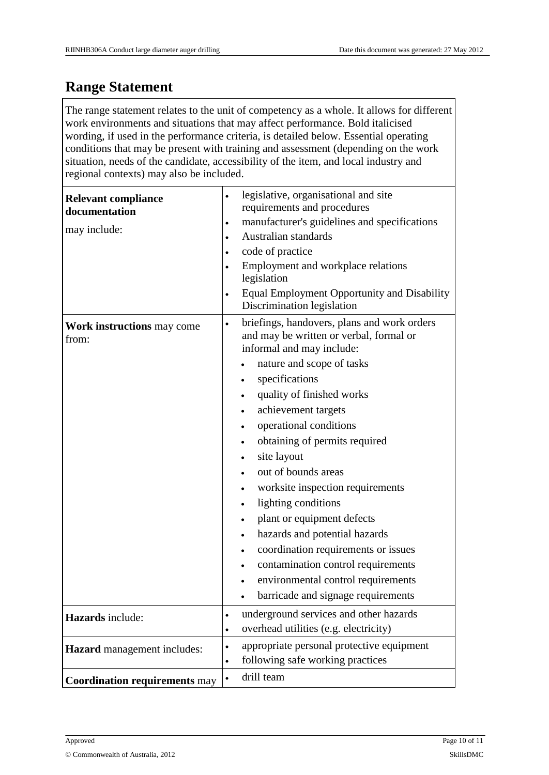#### **Range Statement**

The range statement relates to the unit of competency as a whole. It allows for different work environments and situations that may affect performance. Bold italicised wording, if used in the performance criteria, is detailed below. Essential operating conditions that may be present with training and assessment (depending on the work situation, needs of the candidate, accessibility of the item, and local industry and regional contexts) may also be included.

| <b>Relevant compliance</b><br>documentation<br>may include: | legislative, organisational and site<br>$\bullet$<br>requirements and procedures<br>manufacturer's guidelines and specifications<br>$\bullet$<br>Australian standards<br>$\bullet$<br>code of practice<br>$\bullet$<br>Employment and workplace relations<br>$\bullet$<br>legislation<br>Equal Employment Opportunity and Disability<br>$\bullet$<br>Discrimination legislation                                                                                                                                                                                                                                                                                                                                                                           |
|-------------------------------------------------------------|-----------------------------------------------------------------------------------------------------------------------------------------------------------------------------------------------------------------------------------------------------------------------------------------------------------------------------------------------------------------------------------------------------------------------------------------------------------------------------------------------------------------------------------------------------------------------------------------------------------------------------------------------------------------------------------------------------------------------------------------------------------|
| Work instructions may come<br>from:                         | briefings, handovers, plans and work orders<br>$\bullet$<br>and may be written or verbal, formal or<br>informal and may include:<br>nature and scope of tasks<br>$\bullet$<br>specifications<br>quality of finished works<br>achievement targets<br>$\bullet$<br>operational conditions<br>$\bullet$<br>obtaining of permits required<br>$\bullet$<br>site layout<br>out of bounds areas<br>worksite inspection requirements<br>$\bullet$<br>lighting conditions<br>$\bullet$<br>plant or equipment defects<br>$\bullet$<br>hazards and potential hazards<br>$\bullet$<br>coordination requirements or issues<br>$\bullet$<br>contamination control requirements<br>$\bullet$<br>environmental control requirements<br>barricade and signage requirements |
| Hazards include:                                            | underground services and other hazards<br>$\bullet$<br>overhead utilities (e.g. electricity)<br>$\bullet$                                                                                                                                                                                                                                                                                                                                                                                                                                                                                                                                                                                                                                                 |
| <b>Hazard</b> management includes:                          | appropriate personal protective equipment<br>٠<br>following safe working practices                                                                                                                                                                                                                                                                                                                                                                                                                                                                                                                                                                                                                                                                        |
| <b>Coordination requirements may</b>                        | drill team<br>$\bullet$                                                                                                                                                                                                                                                                                                                                                                                                                                                                                                                                                                                                                                                                                                                                   |